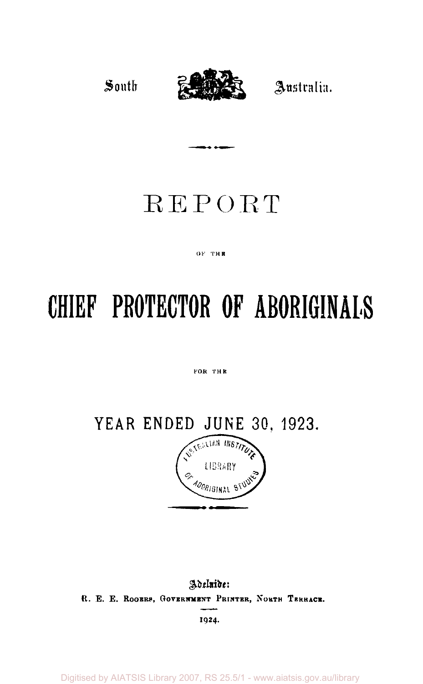

# REPORT

سدعا

#### OF THE

# **CHIEF PROTECTOR OF ABORIGINALS**

#### FOR THE

**YEAR ENDED JUNE 30, 1923.**<br> *A*<sub>SSERIAN *INSTRA*</sub>



*Adelaide:*  R. E. E. ROGERS, GOVERNMENT PRINTER, NORTH TERRACE.

**1924.** 

Digitised by AIATSIS Library 2007, RS 25.5/1 - www.aiatsis.gov.au/library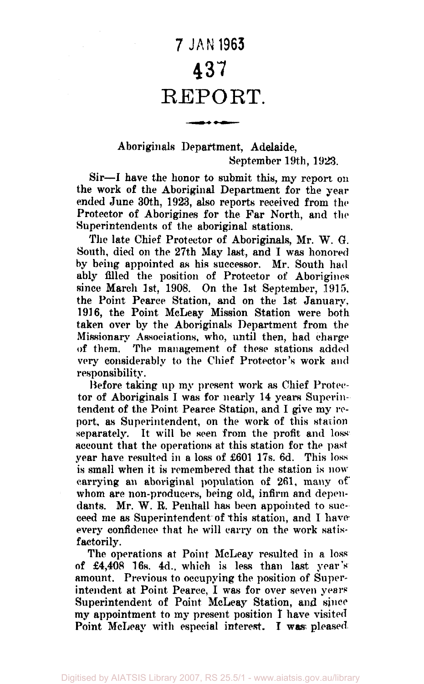# **7 JAN 1963**  437 REPORT.

كالمتعارض

# Aboriginals Department, Adelaide, September 19th, 1923.

Sir—I have the honor to submit this, my report on the work of the Aboriginal Department for the year ended June 30th, 1923, also reports received from the Protector of Aborigines for the Far North, and the Superintendents of the aboriginal stations.

The late Chief Protector of Aboriginals, Mr. W. G. South, died on the 27th May last, and I was honored by being appointed as his successor. Mr. South had ably filled the position of Protector of Aborigines since March 1st, 1908. On the 1st September, 1915. the Point Pearce Station, and on the 1st January, 1916, the Point McLeay Mission Station were both taken over by the Aboriginals Department from the Missionary Associations, who, until then, had charge of them. The management of these stations added very considerably to the Chief Protector's work and responsibility.

Before taking up my present work as Chief Protector of Aboriginals I was for nearly 14 years Superintendent of the Point Pearce Station, and I give my report, as Superintendent, on the work of this station separately. It will be seen from the profit and loss account that the operations at this station for the past year have resulted in a loss of £601 17s. 6d. This loss is small when it is remembered that the station is now carrying an aboriginal population of 261, many of whom are non-producers, being old, infirm and dependants. Mr. W. R. Penhall has been appointed to succeed me as Superintendent of this station, and I have every confidence that he will carry on the work satisfactorily.

The operations at Point McLeay resulted in a loss of £4,408 16s. 4d., which is less than last year's amount. Previous to occupying the position of Superintendent at Point Pearce, I was for over seven years Superintendent of Point McLeay Station, and since my appointment to my present position I have visited Point McLeay with especial interest. I was pleased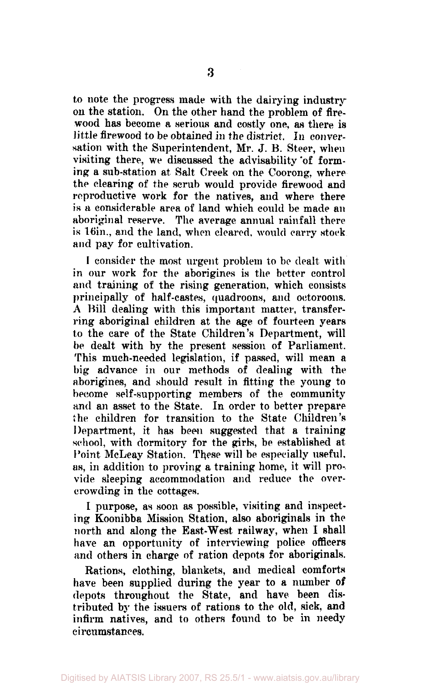to note the progress made with the dairying industry on the station. On the other hand the problem of firewood has become a serious and costly one, as there is little firewood to be obtained in the district. In conversation with the Superintendent, Mr. J. B. Steer, when visiting there, we discussed the advisability 'of forming a sub-station at Salt Creek on the Coorong, where the clearing of the scrub would provide firewood and reproductive work for the natives, and where there is a considerable area of land which could be made an aboriginal reserve. The average annual rainfall there is 16in., and the land, when cleared, would carry stock and pay for cultivation.

I consider the most urgent problem to be dealt with in our work for the aborigines is the better control and training of the rising generation, which consists principally of half-castes, quadroons, and octoroons. A Bill dealing with this important matter, transferring aboriginal children at the age of fourteen years to the care of the State Children's Department, will be dealt with by the present session of Parliament. This much-needed legislation, if passed, will mean a big advance in our methods of dealing with the aborigines, and should result in fitting the young to become self-supporting members of the community and an asset to the State. In order to better prepare the children for transition to the State Children's Department, it has been suggested that a training school, with dormitory for the girls, be established at Point McLeay Station. These will be especially useful, as, in addition to proving a training home, it will provide sleeping accommodation and reduce the overcrowding in the cottages.

I purpose, as soon as possible, visiting and inspecting Koonibba Mission Station, also aboriginals in the north and along the East-West railway, when I shall have an opportunity of interviewing police officers and others in charge of ration depots for aboriginals.

Rations, clothing, blankets, and medical comforts have been supplied during the year to a number of depots throughout the State, and have been distributed by the issuers of rations to the old, sick, and infirm natives, and to others found to be in needy circumstances.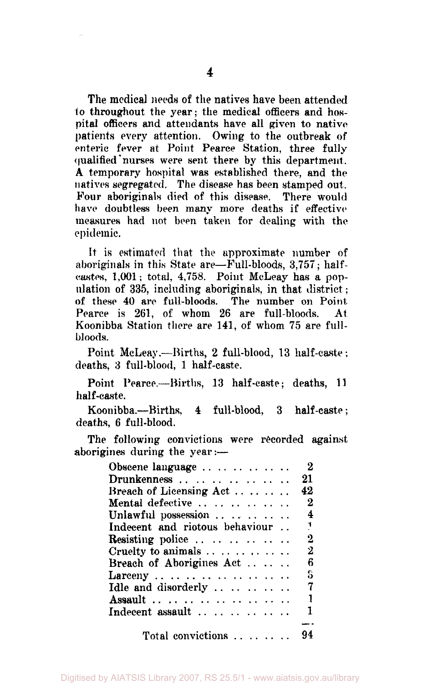The medical needs of the natives have been attended to throughout the year; the medical officers and hospital officers and attendants have all given to native patients every attention. Owing to the outbreak of enteric fever at Point Pearce Station, three fully qualified "nurses were sent there by this department. A temporary hospital was established there, and the natives segregated. The disease has been stamped out. Four aboriginals died of this disease. There would have doubtless been many more deaths if effective measures had not been taken for dealing with the epidemic.

It is estimated that the approximate number of aboriginals in this State are—Full-bloods, 3,757; halfcastes, 1,001; total, 4,758. Point McLeay has a population of 335, including aboriginals, in that district: of these 40 are full-bloods. The number on Point Pearce is 261, of whom 26 are full-bloods. At Koonibba Station there are 141, of whom 75 are fullbloods.

Point McLeay.—Births, 2 full-blood, 13 half-caste; deaths, 3 full-blood, 1 half-caste.

Point Pearce.—Births, 13 half-caste; deaths, 11 half-caste.

Koonibba.—Births, 4 full-blood, 3 half-caste; deaths, 6 full-blood.

The following convictions were recorded against aborigines during the year:—

| Obscene language               | $\bf{2}$         |
|--------------------------------|------------------|
| Drunkenness                    | 21               |
| Breach of Licensing Act        | -42              |
| Mental defective               | $\mathbf{2}$     |
| Unlawful possession  4         |                  |
| Indecent and riotous behaviour | $\mathbb{R}^n$   |
| Resisting police               | $\boldsymbol{2}$ |
| Cruelty to animals             | $\mathbf{2}$     |
| Breach of Aborigines Act       | -6               |
|                                | S                |
| Idle and disorderly            | - 7              |
| Assault                        | $\mathbf{1}$     |
| Indecent assault               | -1               |
|                                |                  |
| Total convictions  94          |                  |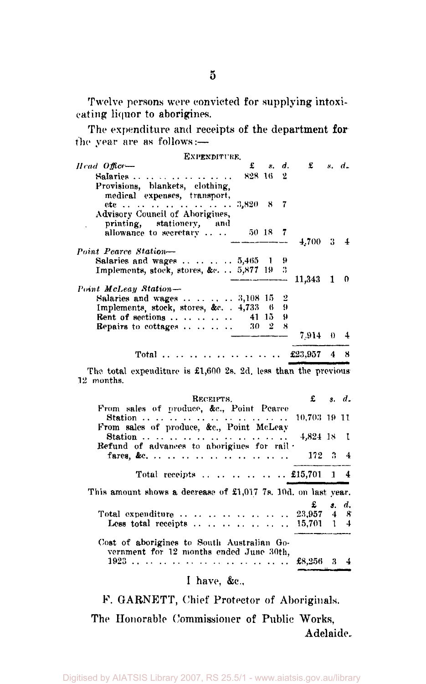Twelve persons were convicted for supplying intoxicating liquor to aborigines.

| the year are as follows:—<br>EXPENDITURE.                                                                                |          |  |                               |  |
|--------------------------------------------------------------------------------------------------------------------------|----------|--|-------------------------------|--|
| $Head$ $Offec$ —                                                                                                         |          |  | $\pounds$ s.d. $\pounds$ s.d. |  |
| Salaries $\ldots$ $\ldots$ $\ldots$ $\ldots$ $\ldots$<br>Provisions, blankets, clothing,<br>medical expenses, transport, | 828 16 2 |  |                               |  |
| ete         3,820 8 7<br>Advisory Council of Aborigines,<br>printing, stationery, and                                    |          |  |                               |  |
| allowance to secretary $50\quad18$ 7                                                                                     |          |  | $4.700 \quad 3 \quad 4$       |  |
| Point Pearce Station-                                                                                                    |          |  |                               |  |
| Salaries and wages $\ldots \ldots \ldots 5,465$ 1 9                                                                      |          |  |                               |  |
| Implements, stock, stores, &c. $\ldots$ 5,877 19 3                                                                       |          |  |                               |  |
| Point McLeay Station-                                                                                                    |          |  | $--$ 11,343 1 0               |  |
| Salaries and wages $\ldots$ $\ldots$ $\ldots$ 3,108 15 2                                                                 |          |  |                               |  |
| Implements, stock, stores, &c. . 4,733 6 9                                                                               |          |  |                               |  |
| Rent of sections  41 15 $\theta$                                                                                         |          |  |                               |  |
| <b>Repairs to cottages</b> 30 $2 \times 8$                                                                               |          |  | 7,914 0 4                     |  |
|                                                                                                                          |          |  | Total  £23,957 4              |  |

The total expenditure is £1,600 2s. 2d. less than the previous 12 months.

| RECEIPTS.                                                                             | $\mathbf{\pounds}$ s. d. |       |
|---------------------------------------------------------------------------------------|--------------------------|-------|
| From sales of produce, &c., Point Pearce<br>Station                                   | 10,703 19 11             |       |
| From sales of produce, &c., Point McLeay                                              | $4.824$ 18 1             |       |
| Refund of advances to aborigines for rail .                                           | $172 \quad 3 \quad 4$    |       |
| Total receipts  £15,701 1 4                                                           |                          |       |
|                                                                                       |                          |       |
| This amount shows a decrease of $\pounds1,017$ 7s, 10d, on last year,                 |                          |       |
|                                                                                       |                          | s. d. |
|                                                                                       |                          |       |
|                                                                                       |                          |       |
| Cost of aborigines to South Australian Go-<br>vernment for 12 months ended June 30th. |                          |       |

I have, &c,

*V. G*ARNETT, Chief Protector of Aboriginals.

The Honorable Commissioner of Public Works, Adelaide.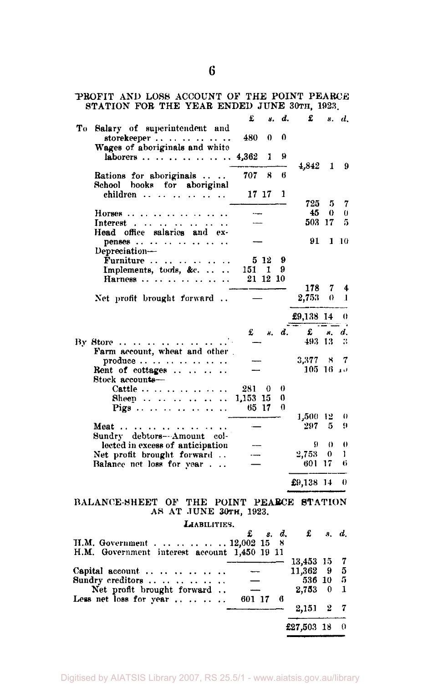| PROFIT AND LOSS ACCOUNT OF THE FOINT FEARCE<br>STATION FOR THE YEAR ENDED JUNE 30TH, 1923. |                          |                    |          |                 |              |                |
|--------------------------------------------------------------------------------------------|--------------------------|--------------------|----------|-----------------|--------------|----------------|
|                                                                                            | £                        | 8.                 | d.       | £               |              | s. d.          |
| To Salary of superintendent and<br>storekeeper                                             | 480.                     | 0                  | 0        |                 |              |                |
| Wages of aboriginals and white<br>laborers                                                 | 4,362                    | 1                  | 9        |                 |              |                |
|                                                                                            |                          |                    |          | 4,842           | $\mathbf{1}$ | - 9            |
| Rations for aboriginals<br>School books for aboriginal                                     | 707 -                    | 8                  | 6        |                 |              |                |
| children                                                                                   | 17 17                    |                    | 1        | 725             | -5           | -7             |
| Horses                                                                                     | $\overline{\phantom{a}}$ |                    |          | 45              | $\bf{0}$     | $\theta$       |
| Interest                                                                                   |                          |                    |          | 503 17          |              | 5              |
| Head office salaries and ex-                                                               |                          |                    |          |                 |              |                |
| penses                                                                                     |                          |                    |          | 91              |              | $1 \; 10$      |
| Depreciation-                                                                              |                          |                    |          |                 |              |                |
| $\mathbf{\hat{F}}$ urniture $\cdots$<br>المتعالمية<br>$\ddotsc$<br>$\ddot{\phantom{0}}$    |                          | 5 12 9             |          |                 |              |                |
| Implements, tools, &c.                                                                     | 151 1                    |                    | - 9      |                 |              |                |
| Harness<br>$\ddot{\phantom{a}}$                                                            | 21 12 10                 |                    |          |                 |              |                |
|                                                                                            |                          |                    |          | 178             |              | 7 <sub>4</sub> |
| Net profit brought forward                                                                 |                          |                    |          | 2,753           |              | 0 <sub>1</sub> |
|                                                                                            |                          |                    |          | £9,138 14       |              | $_{0}$         |
|                                                                                            |                          | $\pounds$ $\kappa$ | d.       | £               | 8.           | d.             |
| By Store                                                                                   |                          |                    |          | 493 13          |              | 3              |
| Farm account, wheat and other                                                              |                          |                    |          |                 |              |                |
| produce $\cdots$ $\cdots$ $\cdots$                                                         |                          |                    |          | 3,377           | - 8          | 7              |
| Rent of cottages $\ldots$ .<br>$\ddot{\phantom{a}}$<br>Stock accounts-                     |                          |                    |          | $105 - 16 = 10$ |              |                |
| Cattle $\cdots$ $\cdots$ $\cdots$<br>$\ddot{\phantom{a}}$                                  | 281 0                    |                    | 0        |                 |              |                |
| Sheep<br>$\ddot{\phantom{a}}$                                                              | 1,153 15                 |                    | 0        |                 |              |                |
| $\ddot{\phantom{0}}$                                                                       | 65 17                    |                    | $\Omega$ |                 |              |                |
|                                                                                            |                          |                    |          | 1,500 12<br>297 | 5            | $\theta$<br>9  |
| Meat                                                                                       |                          |                    |          |                 |              |                |
| Sundry debtors---Amount col-<br>lected in excess of anticipation                           |                          |                    |          | 9               | $\theta$     | $\bigcirc$     |
| Net profit brought forward                                                                 | $\overline{\phantom{a}}$ |                    |          | 2,753           | $\theta$     | ı              |
| Balance net loss for year.                                                                 | $\overline{\phantom{0}}$ |                    |          | 601 17          |              | 6              |
|                                                                                            |                          |                    |          |                 |              |                |
|                                                                                            |                          |                    |          | £9,138 14       |              | 0              |
| BALANCE-SHEET OF THE POINT PEARCE STATION<br>AS AT JUNE 30TH, 1923.                        |                          |                    |          |                 |              |                |
| LIABILITIES.                                                                               |                          |                    |          |                 |              |                |
|                                                                                            | £                        | s. d.              |          | £               | 8.           | d.             |
| H.M. Government.     12,002 15<br>H.M. Government interest account 1,450 19 11             |                          |                    | 8        |                 |              |                |
|                                                                                            |                          |                    |          | 13,453 15       |              | 7              |
| Capital account                                                                            |                          |                    |          | 11,362          | 9            | 5              |
| Sundry creditors                                                                           |                          |                    |          | 536 10          |              | 5              |
| Net profit brought forward                                                                 |                          |                    |          | 2,753           | 0            | 1              |
| Less net loss for year                                                                     | 601 17                   |                    | 6        | 2,151           | 2            | 7              |
|                                                                                            |                          |                    |          |                 |              |                |
|                                                                                            |                          |                    |          | £27,503 18      |              | 0              |

PROFIT AND LOSS ACCOUNT OF THE POINT PEARCE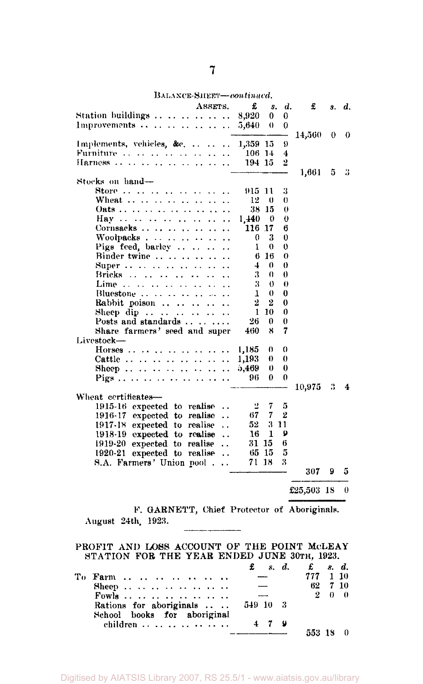BALANCE-SHEET-oontinued.

| ASSETS.                                                    | £        | s.       | d.       | £            | 8.       | d. |
|------------------------------------------------------------|----------|----------|----------|--------------|----------|----|
| Station buildings                                          | 8,920    | 0        | 0        |              |          |    |
| Improvements $\dots \dots \dots \dots \dots$               | 5,640    | $\theta$ | 0        |              |          |    |
|                                                            |          |          |          | 14,560-      | $\bf{0}$ | 0  |
| Implements, vehicles, &c.    1,359 15                      |          |          | 9        |              |          |    |
| Furniture                                                  | $106$ 14 |          | 4        |              |          |    |
| Harness                                                    | 194 15   |          | 2        |              |          |    |
|                                                            |          |          |          | 1,661        | 5        | 3  |
| Stocks on hand-                                            |          |          |          |              |          |    |
| Store        .<br>$\ddot{\phantom{a}}$                     | 915-11   |          | 3        |              |          |    |
| Wheat                                                      | 12       | 0        | 0        |              |          |    |
|                                                            |          | 38 15    | 0        |              |          |    |
| $\ddot{\phantom{0}}$                                       | 1,440    | 0        | 0        |              |          |    |
| Cornsacks                                                  | 116 17   |          | 6        |              |          |    |
| Woolpacks                                                  | 0        | 3        | 0        |              |          |    |
| Pigs feed, barley<br>$\ddot{\phantom{a}}$                  | $\bf{1}$ | 0        | 0        |              |          |    |
| Binder twine                                               |          | $6\,16$  | 0        |              |          |    |
| Super                                                      | $\pm$    | 0        | 0        |              |          |    |
| Brieks                                                     | 3.       | $\theta$ | 0        |              |          |    |
| Lime<br>$\ddot{\phantom{a}}$                               | 3        | 0        | 0        |              |          |    |
|                                                            | 1        | $\Omega$ | 0        |              |          |    |
| Rabbit poison                                              | 2.       | 2        | 0        |              |          |    |
|                                                            |          | $1\,10$  | 0        |              |          |    |
| Posts and standards                                        | 26.      | 0        | 0        |              |          |    |
| Share farmers' seed and super                              | 460      | 8        | 7        |              |          |    |
| Livestock-                                                 |          |          |          |              |          |    |
|                                                            | 1,185    | 0        | 0        |              |          |    |
| Cattle                                                     | 1,193    | 0        | 0        |              |          |    |
| Sheep                                                      | 5,469    | 0        | $\bf{0}$ |              |          |    |
| Pigs                                                       | 96       | 0        | 0        |              |          |    |
|                                                            |          |          |          | 10,975       | 3        | 4  |
| Wheat certificates-                                        | 2        | 7        | 5        |              |          |    |
| 1915-16 expected to realise<br>$\ddot{\phantom{0}}$        | 67 -     | 7        | 2        |              |          |    |
| 1916-17 expected to realise<br>1917-18 expected to realise | 52       |          | 3 11     |              |          |    |
| $\ddot{\phantom{0}}$<br>$1918-19$ expected to realise      | 16       | -1       | 9        |              |          |    |
| 1919-20 expected to realise<br>$\ddot{\phantom{a}}$        | 31 15    |          | 6        |              |          |    |
| 1920-21 expected to realise                                |          | 65 15    | 5        |              |          |    |
| S.A. Farmers' Union pool.<br>$\ddot{\phantom{a}}$          | 71 18    |          | 3        |              |          |    |
|                                                            |          |          |          | 307          | 9        | 5  |
|                                                            |          |          |          |              |          |    |
|                                                            |          |          |          | £25,503 $18$ |          | 0  |
|                                                            |          |          |          |              |          |    |
| F. GARNETT, Chief Protector of Aboriginals.                |          |          |          |              |          |    |
| August 24th, 1923.                                         |          |          |          |              |          |    |
|                                                            |          |          |          |              |          |    |
|                                                            |          |          |          |              |          |    |
| PROFIT AND LOSS ACCOUNT OF THE POINT MCLEAY                |          |          |          |              |          |    |
| STATION FOR THE YEAR ENDED JUNE 30TH, 1923.                |          |          |          |              |          |    |
|                                                            | £        | 8.       | d.       | £            | 8.       | d. |

|                                                        | 8. d. t. 8. d. |          |                   |
|--------------------------------------------------------|----------------|----------|-------------------|
| To Farm                                                |                | 777 1 10 |                   |
| Sheep                                                  |                | 62 7 10  |                   |
| Fowls                                                  |                |          | $2\quad 0\quad 0$ |
| Rations for aboriginals<br>School books for aboriginal | 549 10 3       |          |                   |
| children                                               |                |          |                   |
|                                                        |                |          |                   |

Digitised by AIATSIS Library 2007, RS 25.5/1 - www.aiatsis.gov.au/library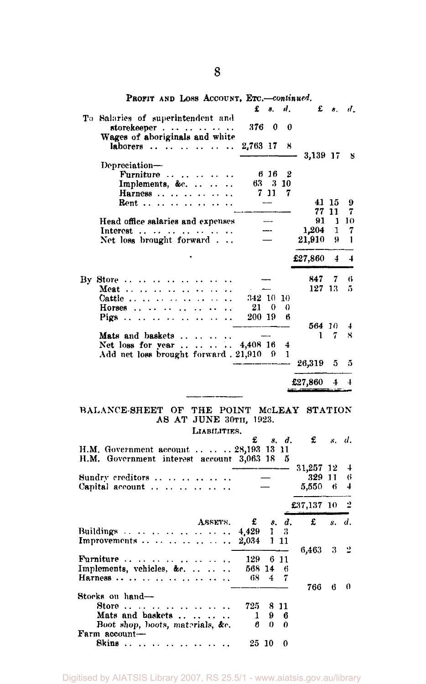| PROFIT AND LOSS ACCOUNT, ETC.-continued.                                                                              |           |              |       |              |            |                |
|-----------------------------------------------------------------------------------------------------------------------|-----------|--------------|-------|--------------|------------|----------------|
|                                                                                                                       | £         | 8.           | d.    | £            | $\delta$ . | d.             |
| To Salaries of superintendent and                                                                                     |           |              |       |              |            |                |
| storekeeper                                                                                                           | 376       | $\mathbf{0}$ | 0     |              |            |                |
| Wages of aboriginals and white                                                                                        |           |              |       |              |            |                |
| laborers                                                                                                              | 2,763 17  |              | 8     |              |            |                |
|                                                                                                                       |           |              |       | 3,139 17     |            | 8              |
| Depreciation-                                                                                                         |           |              |       |              |            |                |
|                                                                                                                       |           | 616          | 2     |              |            |                |
| Furniture<br>$\sim$ $\sim$<br>$\cdots$<br>$\ddot{\phantom{0}}$                                                        |           | 63 3 10      |       |              |            |                |
| Implements, &c<br>$\sim$<br>$\ddot{\phantom{a}}$                                                                      |           |              |       |              |            |                |
| Harness<br>$\ddot{\phantom{0}}$                                                                                       |           | $7\,11$      | 7     |              |            |                |
| $\mathbf{Rent}$<br>$\cdots$<br>$\cdots$                                                                               |           |              |       |              | 41 15      | 9              |
|                                                                                                                       |           |              |       | 77           | 11         | 7              |
| Head office salaries and expenses                                                                                     |           |              |       | 91           | 1.         | 10             |
| Interest        .                                                                                                     |           |              |       | 1,204        | 1          | 7              |
| Net loss brought forward $\ldots$                                                                                     |           |              |       | 21,910       | 9          | 1              |
|                                                                                                                       |           |              |       |              |            |                |
|                                                                                                                       |           |              |       | £27,860      | 4          | 4              |
|                                                                                                                       |           |              |       |              |            |                |
| By Store $\dots$ $\dots$                                                                                              |           |              |       | 847.         | 7          | 6              |
| $\ddot{\phantom{0}}$                                                                                                  |           |              |       | 127 13       |            | 5              |
| Meat<br>$\ddot{\phantom{0}}$<br>Ω.<br>$\ddot{\phantom{0}}$                                                            | 342 10 10 |              |       |              |            |                |
| Cattle<br>$\mathbb{Z}^{\mathbb{Z}^n}$<br>$\ddot{\phantom{a}}$                                                         |           |              |       |              |            |                |
| Horses $\dots$<br>. .                                                                                                 | 21        | $\mathbf{0}$ | 0     |              |            |                |
| Pigs $\ldots$ $\ldots$<br>$\sim$ $\sim$<br>$\sim$ $\sim$<br>$\ddotsc$<br>$\ddot{\phantom{0}}$<br>$\ddot{\phantom{0}}$ | 200 19    |              | ß     |              |            |                |
|                                                                                                                       |           |              |       | 564 10       |            | 4              |
| Mats and baskets<br>Mats and baskets<br>Net loss for year  4,408 16                                                   |           |              |       | $\mathbf{1}$ | 7          | 8              |
|                                                                                                                       |           |              | 4     |              |            |                |
| Add net loss brought forward . 21,910 9                                                                               |           |              | 1     |              |            |                |
|                                                                                                                       |           |              |       | 26,319       | 5          | 5              |
|                                                                                                                       |           |              |       |              |            |                |
|                                                                                                                       |           |              |       |              |            |                |
|                                                                                                                       |           |              |       | £27,860      | $\pm$      | $\overline{4}$ |
|                                                                                                                       |           |              |       |              |            |                |
|                                                                                                                       |           |              |       |              |            |                |
|                                                                                                                       |           |              |       |              |            |                |
| BALANCE-SHEET OF THE POINT MCLEAY STATION<br>AS AT JUNE 30TH, 1923.                                                   |           |              |       |              |            |                |
|                                                                                                                       |           |              |       |              |            |                |
| LIABILITIES.                                                                                                          |           |              |       |              |            |                |
|                                                                                                                       | £         |              | s. d. | £            |            | s. d.          |
| H.M. Government account    28,193 13 11                                                                               |           |              |       |              |            |                |
| H.M. Government interest account 3,063 18                                                                             |           |              | 5     |              |            |                |
|                                                                                                                       |           |              |       | 31,257       | 12         | 4              |
| Sundry creditors                                                                                                      |           |              |       | 329 11       |            | 6              |
| Capital account<br>$\ddotsc$<br>$\ddot{\phantom{0}}$                                                                  |           |              |       | 5,550        | 6          | 4              |
|                                                                                                                       |           |              |       |              |            |                |
|                                                                                                                       |           |              |       | £37,137 10   |            | 2              |
|                                                                                                                       |           |              |       |              |            |                |
| ASSETS.                                                                                                               | £         |              | s. d. | £            | s.         | d.             |
| Buildings<br>المتواصل وماليته<br>μ.<br>$\ddotsc$                                                                      | 4,429     | ı            | 3     |              |            |                |
| Improvements<br>$\ddot{\phantom{0}}$                                                                                  | 2,034     |              | 1 11  |              |            |                |
|                                                                                                                       |           |              |       | 6,463        | 3          | ⊻              |
| <b>Furniture</b><br>$\ddot{\phantom{a}}$                                                                              | 129       |              | 6 11  |              |            |                |
| Implements, vehicles, &c<br>. .                                                                                       | 568 14    |              | 6     |              |            |                |
| Harness<br>$\ddot{\phantom{a}}$                                                                                       | 68        | 4            | 7     |              |            |                |
|                                                                                                                       |           |              |       | 766          | 6          | 0              |
| Stocks on hand-                                                                                                       |           |              |       |              |            |                |
| $Store \ldots$<br>$\cdots$                                                                                            | 725.      |              | 811   |              |            |                |
| Mats and baskets<br>$\ddotsc$                                                                                         | 1         | 9            | 6     |              |            |                |
|                                                                                                                       | 6         | 0            | 0     |              |            |                |
| Boot shop, boots, materials, &c.<br>Farm account-<br>Skins                                                            |           |              |       |              |            |                |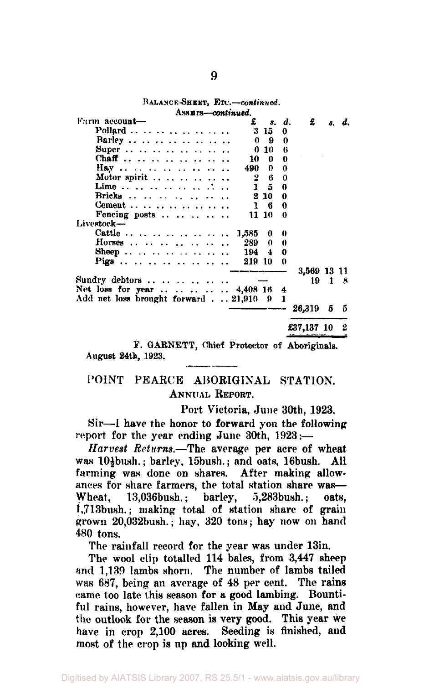| Assurs—continued.                                |                         |              |   |                                |      |       |
|--------------------------------------------------|-------------------------|--------------|---|--------------------------------|------|-------|
| Farm account-                                    | £                       | s. d.        |   | £                              |      | s. d. |
| Pollard                                          |                         | $3 \; 15$    | 0 |                                |      |       |
| Barley                                           | $\mathbf{0}$            | 9            | 0 |                                |      |       |
|                                                  |                         | 0 10         | 6 |                                |      |       |
| Chaff                                            | 10                      | 0            | 0 |                                |      |       |
| Hay         .                                    | 490 -                   | $\mathbf{0}$ | 0 |                                |      |       |
| Motor spirit $\ldots$ $\ldots$ $\ldots$ $\ldots$ | $\overline{\mathbf{2}}$ | 6            | 0 |                                |      |       |
| Lime                                             | $\mathbf{1}$            | 5.           | 0 |                                |      |       |
| Bricks                                           |                         | $2\,10$      | 0 |                                |      |       |
| Cement                                           |                         | $1 \quad 6$  | 0 |                                |      |       |
| Fencing posts $\cdots$ $\cdots$ $\cdots$         |                         | 11 10        | 0 |                                |      |       |
| Livestock-                                       |                         |              |   |                                |      |       |
| Cattle         .                                 | 1,585                   | $\bf{0}$     | 0 |                                |      |       |
| Horses                                           | 289                     | 0.           | 0 |                                |      |       |
| Sheep  194 4                                     |                         |              | 0 |                                |      |       |
| Pigs                                             | 219 10                  |              | 0 |                                |      |       |
|                                                  |                         |              |   | 3,569 13 11                    |      |       |
| Sundry debtors                                   |                         |              |   |                                | 19 1 | х     |
| Net loss for year   4,408 16                     |                         |              | 4 |                                |      |       |
| Add net loss brought forward $\ldots$ 21,910     |                         | - 9          | 1 |                                |      |       |
|                                                  |                         |              |   | 26,319 5                       |      | - 5   |
|                                                  |                         |              |   | £37,137 10 2                   |      |       |
| v<br><b>GARNETT</b>                              |                         |              |   | Chief Protector of Aboricinals |      |       |

**BALANCE-SHEET, ETC.—***continued.* 

*Fotector of Aboriginals.* **August 24th, 1923.** 

# POINT PEARCE ABORIGINAL STATION. ANNUAL REPORT.

Port Victoria, June 30th, 1923.

Sir—I have the honor to forward you the following report for the year ending June 30th, 1923:-

*Harvest Returns.*—The average per acre of wheat was 104bush.; barley, 15bush.; and oats, 16bush. All farming was done on shares. After making allowances for share farmers, the total station share was—<br>Wheat. 13.036bush.: barley. 5.283bush.: oats. 13,036bush.; barley, 5,283bush.; oats, l,713bush.; making total of station share of grain grown 20,032bush.; hay, 320 tons; hay now on hand 480 tons.

The rainfall record for the year was under 13in.

The wool clip totalled 114 bales, from 3,447 sheep and 1,139 lambs shorn. The number of lambs tailed was 687, being an average of 48 per cent. The rains came too late this season for a good lambing. Bountiful rains, however, have fallen in May and June, and the outlook for the season is very good. This year we have in crop 2,100 acres. Seeding is finished, and most of the crop is up and looking well.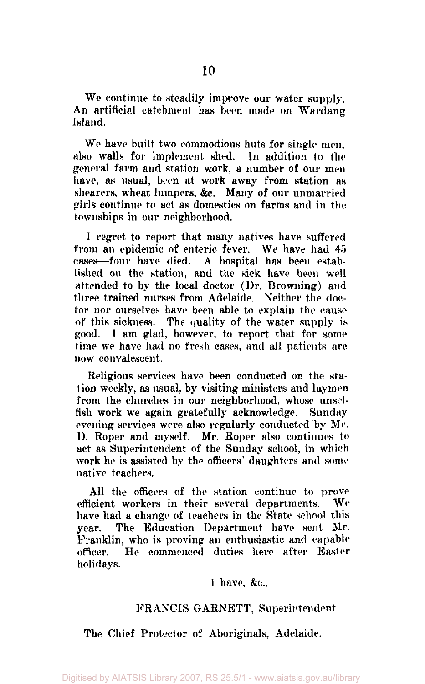We continue to steadily improve our water supply. An artificial catchment has been made on Wardang Island.

We have built two commodious huts for single men, also walls for implement shed. In addition to the general farm and station work, a number of our men have, as usual, been at work away from station as shearers, wheat lumpers, &c. Many of our unmarried girls continue to act as domestics on farms and in the townships in our neighborhood.

I regret to report that many natives have suffered from an epidemic of enteric fever. We have had 45 cases—four have died. A hospital has been established on the station, and the sick have been well attended to by the local doctor (Dr. Browning) and three trained nurses from Adelaide. Neither the doctor nor ourselves have been able to explain the cause of this sickness. The quality of the water supply is good. 1 am glad, however, to report that for some time we have had no fresh cases, and all patients are now convalescent.

Religious services have been conducted on the station weekly, as usual, by visiting ministers and laymen from the churches in our neighborhood, whose unselfish work we again gratefully acknowledge. Sunday evening services were also regularly conducted by Mr. D. Roper and myself. Mr. Roper also continues to act as Superintendent of the Sunday school, in which work he is assisted by the officers' daughters and some native teachers.

All the officers of the station continue to prove efficient workers in their several departments. We have had a change of teachers in the State school this year. The Education Department have sent Mr. Franklin, who is proving an enthusiastic and capable officer. He commenced duties here after Easter holidays.

1 have, &c.

## FRANCIS GARNETT, Superintendent.

The Chief Protector of Aboriginals, Adelaide.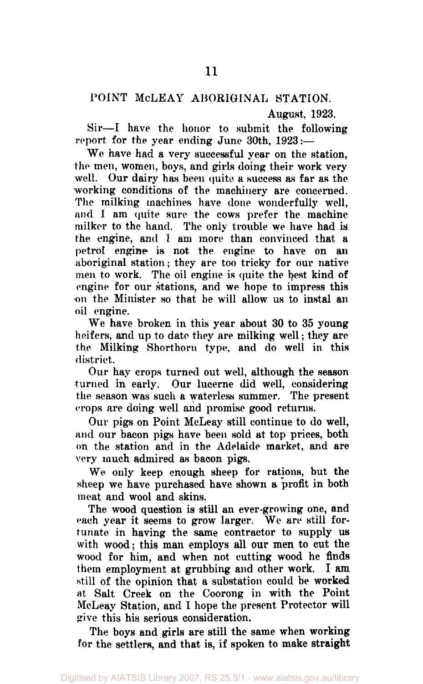# POINT McLEAY ABORIGINAL STATION.

August, 1923.

Sir—I have the honor to submit the following report for the year ending June 30th, 1923:—

We have had a very successful year on the station, the men, women, boys, and girls doing their work very well. Our dairy has been quite a success as far as the working conditions of the machinery are concerned. The milking machines have done wonderfully well, and I am quite sure the cows prefer the machine milker to the hand. The only trouble we have had is the engine, and I am more than convinced that a petrol engine is not the engine to have on an aboriginal station; they are too tricky for our native men to work. The oil engine is quite the best kind of engine for our stations, and we hope to impress this on the Minister so that he will allow us to instal an oil engine.

We have broken in this year about 30 to 35 young heifers, and up to date they are milking well; they are the Milking Shorthorn type, and do well in this district.

Our hay crops turned out well, although the season turned in early. Our lucerne did well, considering the season was such a waterless summer. The present crops are doing well and promise good returns.

Our pigs on Point McLeay still continue to do well, and our bacon pigs have been sold at top prices, both on the station and in the Adelaide market, and are very much admired as bacon pigs.

We only keep enough sheep for rations, but the sheep we have purchased have shown a profit in both meat and wool and skins.

The wood question is still an ever-growing one, and each year it seems to grow larger. We are still fortunate in having the same contractor to supply us with wood; this man employs all our men to cut the wood for him, and when not cutting wood he finds them employment at grubbing and other work. I am still of the opinion that a substation could be worked at Salt Creek on the Coorong in with the Point McLeay Station, and I hope the present Protector will give this his serious consideration.

The boys and girls are still the same when working for the settlers, and that is, if spoken to make straight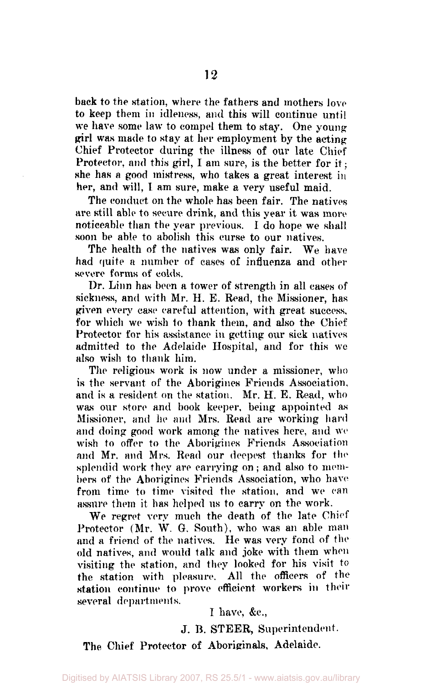back to the station, where the fathers and mothers love to keep them in idleness, and this will continue until we have some law to compel them to stay. One young girl was made to stay at her employment by the acting Chief Protector during the illness of our late Chief Protector, and this girl, I am sure, is the better for it; she has a good mistress, who takes a great interest in her, and will, I am sure, make a very useful maid.

The conduct on the whole has been fair. The natives are still able to secure drink, and this year it was more noticeable than the year previous. I do hope we shall soon be able to abolish this curse to our natives.

The health of the natives was only fair. We have had quite a number of cases of influenza and other severe forms of colds.

Dr. Linn has been a tower of strength in all cases of sickness, and with Mr. H. B. Read, the Missioner, has given every case careful attention, with great success, for which we wish to thank them, and also the Chief Protector for his assistance in getting our sick natives admitted to the Adelaide Hospital, and for this we also wish to thank him.

The religious work is now under a missioner, who is the servant of the Aborigines Friends Association, and is a resident on the station. Mr. H. E. Read, who was our store and book keeper, being appointed as Missioner, and he and Mrs. Read are working hard and doing good work among the natives here, and we wish to offer to the Aborigines Friends Association and Mr. and Mrs. Read our deepest thanks for the splendid work they are carrying on ; and also to members of the Aborigines Friends Association, who have from time to time visited the station, and we can assure them it has helped us to carry on the work.

We regret very much the death of the late Chief Protector (Mr. W. G. South), who was an able man and a friend of the natives. He was very fond of the old natives, and would talk and joke with them when visiting the station, and they looked for his visit to the station with pleasure. All the officers of the station continue to prove efficient workers in their several departments.

I have, &c,

J. B. STEER, Superintendent.

The Chief Protector of Aboriginals, Adelaide.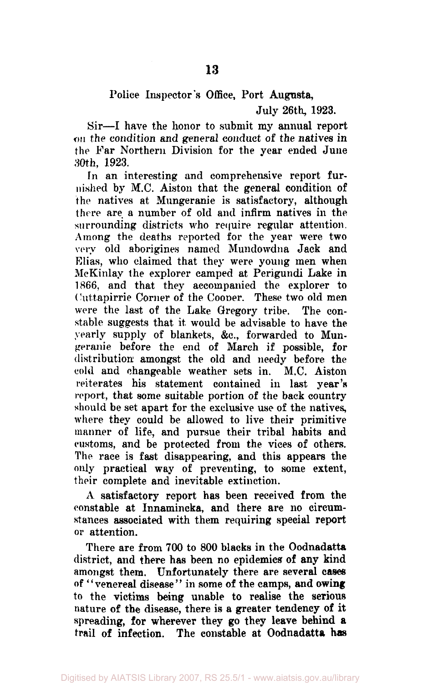# Police Inspector's Office, Port Augusta,

July 26th, 1923.

Sir—I have the honor to submit my annual report on the condition and general conduct of the natives in the Far Northern Division for the year ended June 30th, 1923.

In an interesting and comprehensive report furnished by M.C. Aiston that the general condition of the natives at Mungeranie is satisfactory, although there are a number of old and infirm natives in the surrounding districts who require regular attention. Among the deaths reported for the year were two very old aborigines named Mundowdna Jack and Elias, who claimed that they were young men when McKinlay the explorer camped at Perigundi Lake in 1866, and that they accompanied the explorer to Cuttapirrie Corner of the Cooper. These two old men were the last of the Lake Gregory tribe. The constable suggests that it, would be advisable to have the yearly supply of blankets, &c, forwarded to Mungeranie before the end of March if possible, for distribution amongst the old and needy before the cold and changeable weather sets in. M.C. Aiston reiterates his statement contained in last year's report, that some suitable portion of the back country should be set apart for the exclusive use of the natives, where they could be allowed to live their primitive manner of life, and pursue their tribal habits and customs, and be protected from the vices of others. The race is fast disappearing, and this appears the only practical way of preventing, to some extent, their complete and inevitable extinction.

A satisfactory report has been received from the constable at Innamincka, and there are no circumstances associated with them requiring special report or attention.

There are from 700 to 800 blacks in the Oodnadatta district, and there has been no epidemics of any kind amongst them. Unfortunately there are several cases of "venereal disease" in some of the camps, and owing to the victims being unable to realise the serious nature of the disease, there is a greater tendency of it spreading, for wherever they go they leave behind a trail of infection. The constable at Oodnadatta has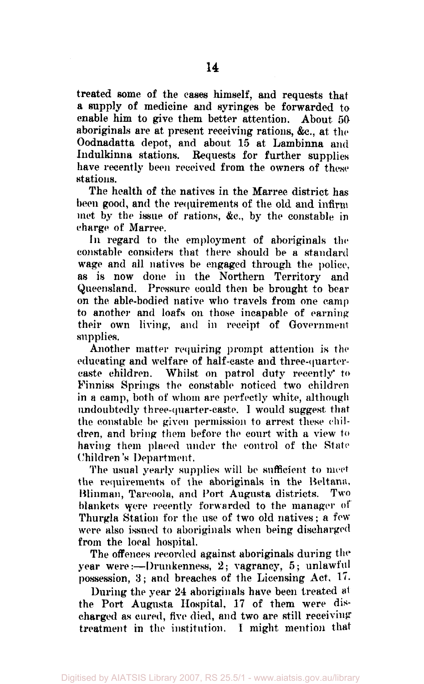treated some of the cases himself, and requests that a supply of medicine and syringes be forwarded to enable him to give them better attention. About 50 aboriginals are at present receiving rations, &c., at the Oodnadatta depot, and about 15 at Lambinna and Indulkinna stations. Requests for further supplies have recently been received from the owners of these stations.

The health of the natives in the Marree district has been good, and the requirements of the old and infirm met by the issue of rations, &c, by the constable in charge of Marree.

In regard to the employment of aboriginals the constable considers that there should be a standard wage and all natives be engaged through the police, as is now done in the Northern Territory and Queensland. Pressure could then be brought to bear on the able-bodied native who travels from one camp to another and loafs on those incapable of earning their own living, and in receipt of Government supplies.

Another matter requiring prompt attention is the educating and welfare of half-caste and three-quartercaste children. Whilst on patrol duty recently" to Finniss Springs the constable noticed two children in a camp, both of whom are perfectly white, although undoubtedly three-quarter-caste. I would suggest that the constable be given permission to arrest these children, and bring them before the court with a view to having them placed under the control of the State Children's Department.

The usual yearly supplies will be sufficient to meet the requirements of the aboriginals in the Beltana, Blinman, Tarcoola, and Fort Augusta districts. Two blankets were recently forwarded to the manager of Thurgla Station for the use of two old natives; a few were also issued to aboriginals when being discharged from the local hospital.

The offences recorded against aboriginals during the year were:—Drunkenness, 2; vagrancy, 5; unlawful possession, 3; and breaches of the Licensing Act, 17.

During the year 24 aboriginals have been treated at the Port Augusta Hospital, 17 of them were discharged as cured, five died, and two are still receiving treatment in the institution. I might mention that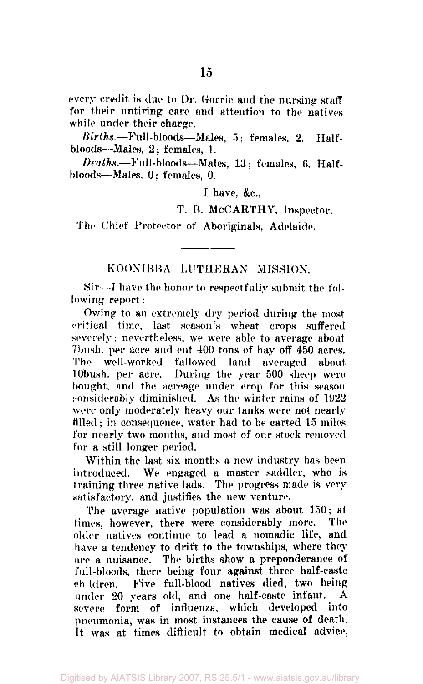every credit is due to Dr. Gorrie and the nursing staff for their untiring care and attention to the natives while under their charge.

*Births.—*Full-bloods—Males, 5; females, 2. Halfbloods—Males, 2; females, 1.

*Deaths.—*Full-bloods—Males, 13; females, 6. Halfbloods—Males. 0; females, 0.

I have, &c,

T. R. MCCARTHY, Inspector.

The Chief Protector of Aboriginals, Adelaide.

# KOONIBBA LUTHERAN MISSION.

Sir—1 have the honor to respectfully submit the following report:—

Owing to an extremely dry period during the most critical time, last season's wheat crops suffered severely: nevertheless, we were able to average about 7 bush. per acre and cut 400 tons of hay off 450 acres. The well-worked fallowed land averaged about During the year 500 sheep were. bought, and the acreage under crop for this season considerably diminished. As the winter rains of 1922 were only moderately heavy our tanks were not nearly filled; in consequence, water had to be carted 15 miles for nearly two months, and most of our stock removed for a still longer period.

Within the last six months a new industry has been introduced. We engaged a master saddler, who is training three native lads. The progress made is very satisfactory, and justifies the new venture.

The average native population was about 150; at times, however, there were considerably more. older natives continue to lead a nomadic life, and have a tendency to drift to the townships, where they are a nuisance. The births show a preponderance of full-bloods, there being four against three half-caste children. Five full-blood natives died, two being under 20 years old, and one half-caste infant. severe form of influenza, which developed into pneumonia, was in most instances the cause of death. It was at times difficult to obtain medical advice.